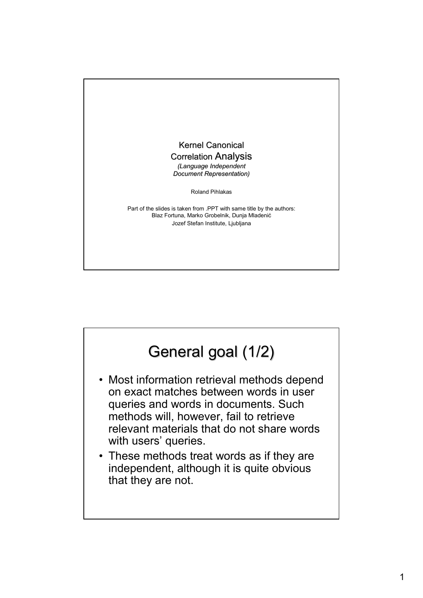

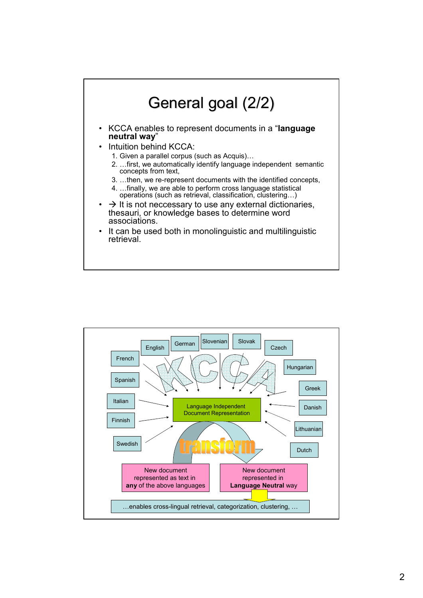

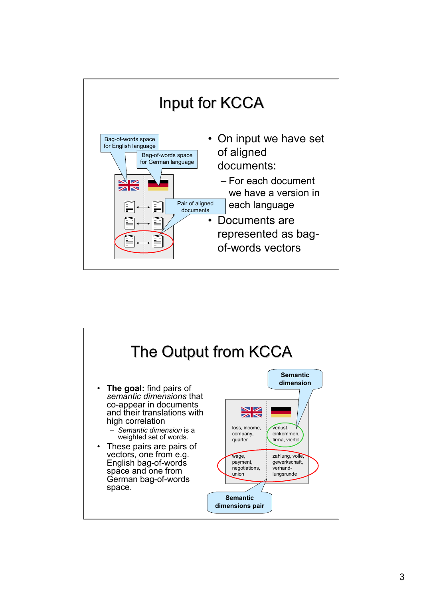

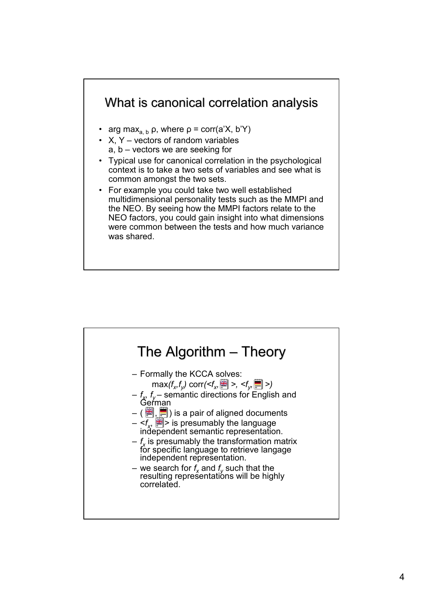## What is canonical correlation analysis

- arg max<sub>a, b</sub>  $\rho$ , where  $\rho$  = corr(a'X, b'Y)
- $X, Y$  vectors of random variables
	- a, b vectors we are seeking for
- Typical use for canonical correlation in the psychological context is to take a two sets of variables and see what is common amongst the two sets.
- For example you could take two well established multidimensional personality tests such as the MMPI and the NEO. By seeing how the MMPI factors relate to the NEO factors, you could gain insight into what dimensions were common between the tests and how much variance was shared.

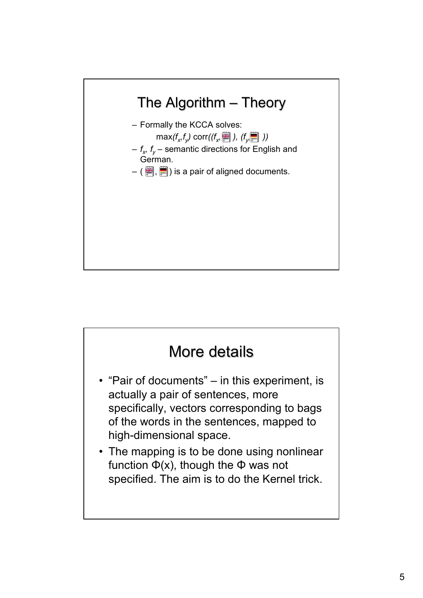

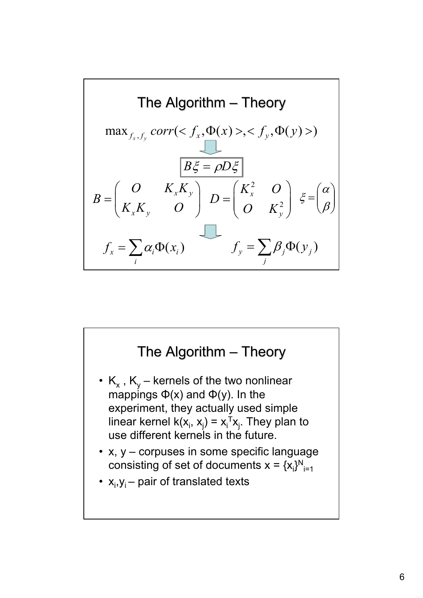

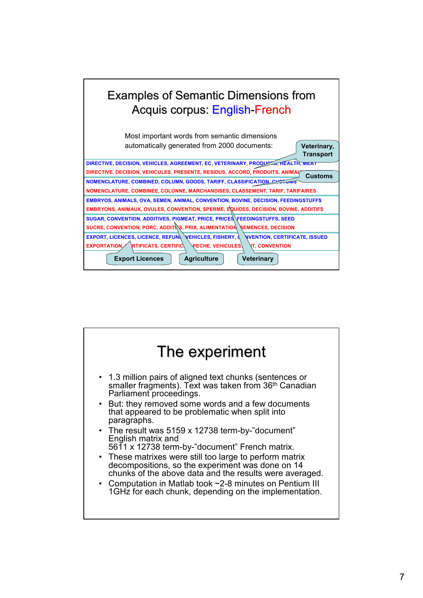

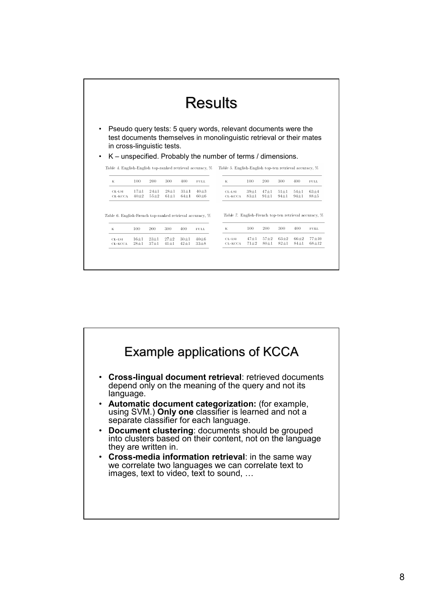| <b>Results</b>                                                                          |                 |                 |                      |                      |                         |                                                                                                                                                                                                                                                                 |                      |                        |                        |                      |                          |
|-----------------------------------------------------------------------------------------|-----------------|-----------------|----------------------|----------------------|-------------------------|-----------------------------------------------------------------------------------------------------------------------------------------------------------------------------------------------------------------------------------------------------------------|----------------------|------------------------|------------------------|----------------------|--------------------------|
| in cross-linguistic tests.<br>Table 4. English-English top-ranked retrieval accuracy, % |                 |                 |                      |                      |                         | Pseudo query tests: 5 query words, relevant documents were the<br>test documents themselves in monolinguistic retrieval or their mates<br>K – unspecified. Probably the number of terms / dimensions.<br>Table 5. English-English top-ten retrieval accuracy, % |                      |                        |                        |                      |                          |
| К                                                                                       | 100             | 200             | 300                  | 400                  | <b>FULL</b>             | К                                                                                                                                                                                                                                                               | 100                  | 200                    | 300                    | 400                  | <b>FULL</b>              |
|                                                                                         | $17 + 1$        | $24 + 1$        | $28 + 1$<br>$61 + 1$ | $31 + 1$<br>$64 + 1$ | $40 + 3$<br>$60 + 6$    | CL-LSL<br>CL-KCCA                                                                                                                                                                                                                                               | $39 + 1$<br>$83 + 1$ | $47 + 1$<br>$91 \pm 1$ | $51 \pm 1$<br>$94\pm1$ | $54 + 1$<br>$94\pm1$ | $63 + 4$<br>$88 + 5$     |
| CL-LSI<br>CL-KCCA                                                                       | $40 + 2$        | $55 + 2$        |                      |                      |                         |                                                                                                                                                                                                                                                                 |                      |                        |                        |                      |                          |
| Table 6. English-French top-ranked retrieval accuracy, %<br>К<br>$CL-LS1$               | 100<br>$16 + 1$ | 200<br>$23 + 1$ | 300<br>$27 + 2$      | 400<br>$30+1$        | <b>FULL</b><br>$40 + 6$ | Table 7. English-French top-ten retrieval accuracy, %<br>К<br>CL-LSI                                                                                                                                                                                            | 100<br>$47 + 1$      | 200<br>$57 + 2$        | 300<br>$63+2$          | 400<br>$66 + 2$      | <b>FULL</b><br>$77 + 10$ |